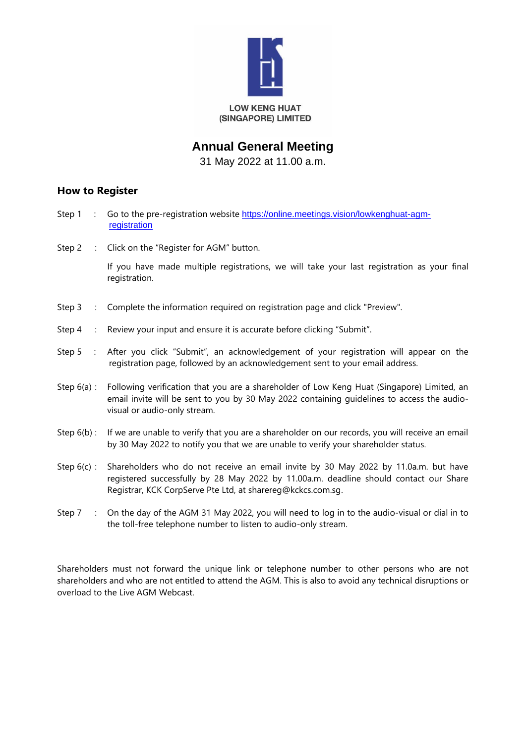

## **Annual General Meeting**

31 May 2022 at 11.00 a.m.

## **How to Register**

- Step 1 : Go to the pre-registration website [https://online.meetings.vision/lowkenghuat-agm](https://online.meetings.vision/lowkenghuat-agm-registration)[registration](https://online.meetings.vision/lowkenghuat-agm-registration)
- Step 2 : Click on the "Register for AGM" button.

If you have made multiple registrations, we will take your last registration as your final registration.

- Step 3 : Complete the information required on registration page and click "Preview".
- Step 4 : Review your input and ensure it is accurate before clicking "Submit".
- Step 5 : After you click "Submit", an acknowledgement of your registration will appear on the registration page, followed by an acknowledgement sent to your email address.
- Step 6(a) : Following verification that you are a shareholder of Low Keng Huat (Singapore) Limited, an email invite will be sent to you by 30 May 2022 containing guidelines to access the audiovisual or audio-only stream.
- Step 6(b) : If we are unable to verify that you are a shareholder on our records, you will receive an email by 30 May 2022 to notify you that we are unable to verify your shareholder status.
- Step 6(c) : Shareholders who do not receive an email invite by 30 May 2022 by 11.0a.m. but have registered successfully by 28 May 2022 by 11.00a.m. deadline should contact our Share Registrar, KCK CorpServe Pte Ltd, at sharereg@kckcs.com.sg.
- Step 7 : On the day of the AGM 31 May 2022, you will need to log in to the audio-visual or dial in to the toll-free telephone number to listen to audio-only stream.

Shareholders must not forward the unique link or telephone number to other persons who are not shareholders and who are not entitled to attend the AGM. This is also to avoid any technical disruptions or overload to the Live AGM Webcast.